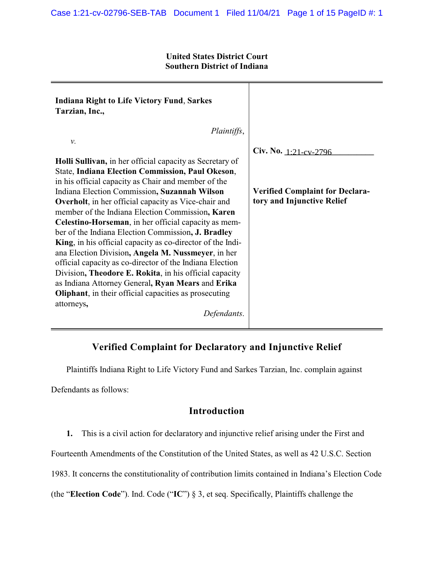### **United States District Court Southern District of Indiana**

| <b>Indiana Right to Life Victory Fund, Sarkes</b><br>Tarzian, Inc.,                                              |                                                                      |
|------------------------------------------------------------------------------------------------------------------|----------------------------------------------------------------------|
| Plaintiffs,                                                                                                      |                                                                      |
| ν.                                                                                                               |                                                                      |
|                                                                                                                  | Civ. No. 1:21-cv-2796                                                |
| Holli Sullivan, in her official capacity as Secretary of                                                         |                                                                      |
| State, Indiana Election Commission, Paul Okeson,                                                                 |                                                                      |
| in his official capacity as Chair and member of the                                                              |                                                                      |
| Indiana Election Commission, Suzannah Wilson                                                                     | <b>Verified Complaint for Declara-</b><br>tory and Injunctive Relief |
| <b>Overholt</b> , in her official capacity as Vice-chair and<br>member of the Indiana Election Commission, Karen |                                                                      |
| Celestino-Horseman, in her official capacity as mem-                                                             |                                                                      |
| ber of the Indiana Election Commission, J. Bradley                                                               |                                                                      |
| King, in his official capacity as co-director of the Indi-                                                       |                                                                      |
| ana Election Division, Angela M. Nussmeyer, in her                                                               |                                                                      |
| official capacity as co-director of the Indiana Election                                                         |                                                                      |
| Division, Theodore E. Rokita, in his official capacity                                                           |                                                                      |
| as Indiana Attorney General, Ryan Mears and Erika                                                                |                                                                      |
| <b>Oliphant</b> , in their official capacities as prosecuting                                                    |                                                                      |
| attorneys,<br>Defendants.                                                                                        |                                                                      |

# **Verified Complaint for Declaratory and Injunctive Relief**

Plaintiffs Indiana Right to Life Victory Fund and Sarkes Tarzian, Inc. complain against

Defendants as follows:

# **Introduction**

**1.** This is a civil action for declaratory and injunctive relief arising under the First and

Fourteenth Amendments of the Constitution of the United States, as well as 42 U.S.C. Section

1983. It concerns the constitutionality of contribution limits contained in Indiana's Election Code

(the "**Election Code**"). Ind. Code ("**IC**") § 3, et seq. Specifically, Plaintiffs challenge the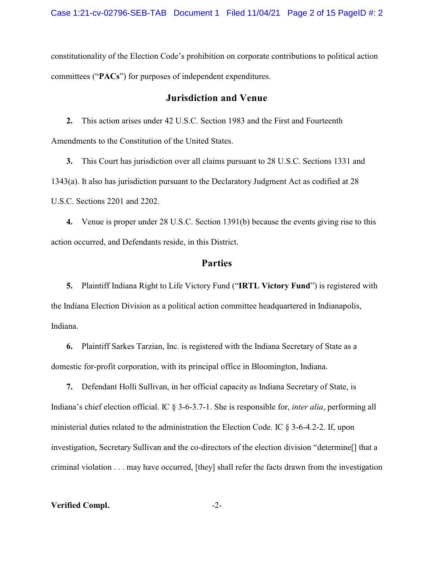constitutionality of the Election Code's prohibition on corporate contributions to political action committees ("**PACs**") for purposes of independent expenditures.

## **Jurisdiction and Venue**

**2.** This action arises under 42 U.S.C. Section 1983 and the First and Fourteenth Amendments to the Constitution of the United States.

**3.** This Court has jurisdiction over all claims pursuant to 28 U.S.C. Sections 1331 and 1343(a). It also has jurisdiction pursuant to the Declaratory Judgment Act as codified at 28 U.S.C. Sections 2201 and 2202.

**4.** Venue is proper under 28 U.S.C. Section 1391(b) because the events giving rise to this action occurred, and Defendants reside, in this District.

## **Parties**

**5.** Plaintiff Indiana Right to Life Victory Fund ("**IRTL Victory Fund**") is registered with the Indiana Election Division as a political action committee headquartered in Indianapolis, Indiana.

**6.** Plaintiff Sarkes Tarzian, Inc. is registered with the Indiana Secretary of State as a domestic for-profit corporation, with its principal office in Bloomington, Indiana.

**7.** Defendant Holli Sullivan, in her official capacity as Indiana Secretary of State, is Indiana's chief election official. IC § 3-6-3.7-1. She is responsible for, *inter alia*, performing all ministerial duties related to the administration the Election Code. IC § 3-6-4.2-2. If, upon investigation, Secretary Sullivan and the co-directors of the election division "determine[] that a criminal violation . . . may have occurred, [they] shall refer the facts drawn from the investigation

**Verified Compl.** -2-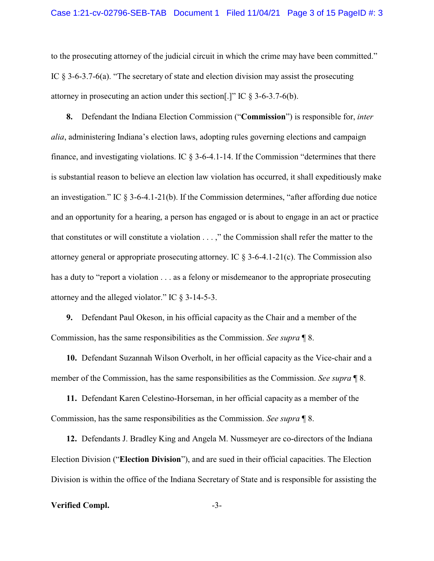to the prosecuting attorney of the judicial circuit in which the crime may have been committed." IC § 3-6-3.7-6(a). "The secretary of state and election division may assist the prosecuting attorney in prosecuting an action under this section.]" IC  $\S 3-6-3.7-6(b)$ .

**8.** Defendant the Indiana Election Commission ("**Commission**") is responsible for, *inter alia*, administering Indiana's election laws, adopting rules governing elections and campaign finance, and investigating violations. IC  $\delta$  3-6-4.1-14. If the Commission "determines that there is substantial reason to believe an election law violation has occurred, it shall expeditiously make an investigation." IC  $\S 3-6-4.1-21(b)$ . If the Commission determines, "after affording due notice and an opportunity for a hearing, a person has engaged or is about to engage in an act or practice that constitutes or will constitute a violation . . . ," the Commission shall refer the matter to the attorney general or appropriate prosecuting attorney. IC  $\S 3$ -6-4.1-21(c). The Commission also has a duty to "report a violation . . . as a felony or misdemeanor to the appropriate prosecuting attorney and the alleged violator." IC § 3-14-5-3.

**9.** Defendant Paul Okeson, in his official capacity as the Chair and a member of the Commission, has the same responsibilities as the Commission. *See supra* ¶ 8.

**10.** Defendant Suzannah Wilson Overholt, in her official capacity as the Vice-chair and a member of the Commission, has the same responsibilities as the Commission. *See supra* ¶ 8.

**11.** Defendant Karen Celestino-Horseman, in her official capacity as a member of the Commission, has the same responsibilities as the Commission. *See supra* ¶ 8.

**12.** Defendants J. Bradley King and Angela M. Nussmeyer are co-directors of the Indiana Election Division ("**Election Division**"), and are sued in their official capacities. The Election Division is within the office of the Indiana Secretary of State and is responsible for assisting the

#### **Verified Compl.** -3-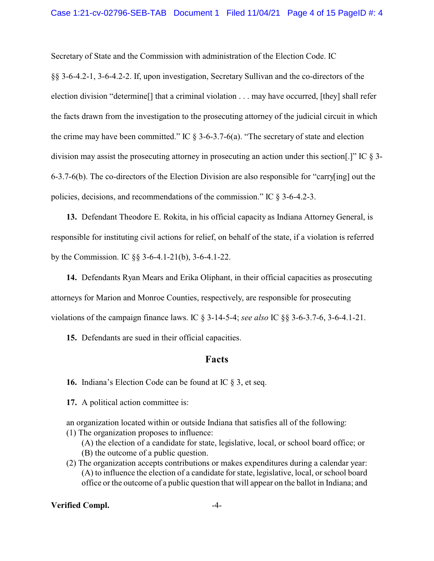Secretary of State and the Commission with administration of the Election Code. IC

§§ 3-6-4.2-1, 3-6-4.2-2. If, upon investigation, Secretary Sullivan and the co-directors of the election division "determine[] that a criminal violation . . . may have occurred, [they] shall refer the facts drawn from the investigation to the prosecuting attorney of the judicial circuit in which the crime may have been committed." IC  $\S$  3-6-3.7-6(a). "The secretary of state and election division may assist the prosecuting attorney in prosecuting an action under this section[.]" IC § 3- 6-3.7-6(b). The co-directors of the Election Division are also responsible for "carry[ing] out the policies, decisions, and recommendations of the commission." IC § 3-6-4.2-3.

**13.** Defendant Theodore E. Rokita, in his official capacity as Indiana Attorney General, is responsible for instituting civil actions for relief, on behalf of the state, if a violation is referred by the Commission. IC §§ 3-6-4.1-21(b), 3-6-4.1-22.

**14.** Defendants Ryan Mears and Erika Oliphant, in their official capacities as prosecuting attorneys for Marion and Monroe Counties, respectively, are responsible for prosecuting violations of the campaign finance laws. IC § 3-14-5-4; *see also* IC §§ 3-6-3.7-6, 3-6-4.1-21.

**15.** Defendants are sued in their official capacities.

### **Facts**

**16.** Indiana's Election Code can be found at IC § 3, et seq.

**17.** A political action committee is:

an organization located within or outside Indiana that satisfies all of the following: (1) The organization proposes to influence:

(A) the election of a candidate for state, legislative, local, or school board office; or (B) the outcome of a public question.

(2) The organization accepts contributions or makes expenditures during a calendar year: (A) to influence the election of a candidate for state, legislative, local, or school board office or the outcome of a public question that will appear on the ballot in Indiana; and

### **Verified Compl.** -4-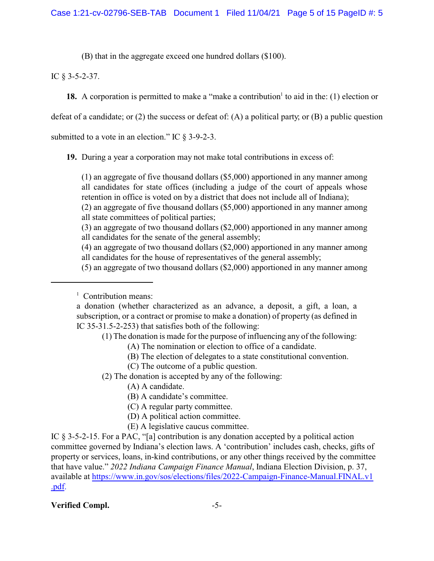(B) that in the aggregate exceed one hundred dollars (\$100).

# IC § 3-5-2-37.

18. A corporation is permitted to make a "make a contribution<sup>1</sup> to aid in the: (1) election or

defeat of a candidate; or (2) the success or defeat of: (A) a political party; or (B) a public question

submitted to a vote in an election." IC § 3-9-2-3.

**19.** During a year a corporation may not make total contributions in excess of:

(1) an aggregate of five thousand dollars (\$5,000) apportioned in any manner among all candidates for state offices (including a judge of the court of appeals whose retention in office is voted on by a district that does not include all of Indiana);

(2) an aggregate of five thousand dollars (\$5,000) apportioned in any manner among all state committees of political parties;

(3) an aggregate of two thousand dollars (\$2,000) apportioned in any manner among all candidates for the senate of the general assembly;

(4) an aggregate of two thousand dollars (\$2,000) apportioned in any manner among all candidates for the house of representatives of the general assembly;

(5) an aggregate of two thousand dollars (\$2,000) apportioned in any manner among

<sup>1</sup> Contribution means:

(1) The donation is made for the purpose of influencing any of the following:

- (A) The nomination or election to office of a candidate.
- (B) The election of delegates to a state constitutional convention.
- (C) The outcome of a public question.

(2) The donation is accepted by any of the following:

- (A) A candidate.
- (B) A candidate's committee.
- (C) A regular party committee.
- (D) A political action committee.
- (E) A legislative caucus committee.

IC § 3-5-2-15. For a PAC, "[a] contribution is any donation accepted by a political action committee governed by Indiana's election laws. A 'contribution' includes cash, checks, gifts of property or services, loans, in-kind contributions, or any other things received by the committee that have value." *2022 Indiana Campaign Finance Manual*, Indiana Election Division, p. 37, available at [https://www.in.gov/sos/elections/files/2022-Campaign-Finance-Manual.FINAL.v1](https://www.in.gov/sos/elections/files/2022-Campaign-Finance-Manual.FINAL.v1.pdf) [.pdf.](https://www.in.gov/sos/elections/files/2022-Campaign-Finance-Manual.FINAL.v1.pdf)

# **Verified Compl.** -5-

a donation (whether characterized as an advance, a deposit, a gift, a loan, a subscription, or a contract or promise to make a donation) of property (as defined in IC 35-31.5-2-253) that satisfies both of the following: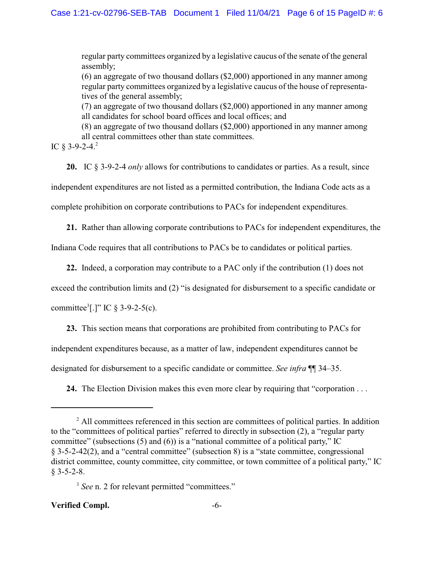regular party committees organized by a legislative caucus of the senate of the general assembly;

(6) an aggregate of two thousand dollars (\$2,000) apportioned in any manner among regular party committees organized by a legislative caucus of the house of representatives of the general assembly;

(7) an aggregate of two thousand dollars (\$2,000) apportioned in any manner among all candidates for school board offices and local offices; and

(8) an aggregate of two thousand dollars (\$2,000) apportioned in any manner among all central committees other than state committees.

IC  $§$  3-9-2-4.<sup>2</sup>

**20.** IC § 3-9-2-4 *only* allows for contributions to candidates or parties. As a result, since independent expenditures are not listed as a permitted contribution, the Indiana Code acts as a complete prohibition on corporate contributions to PACs for independent expenditures.

**21.** Rather than allowing corporate contributions to PACs for independent expenditures, the

Indiana Code requires that all contributions to PACs be to candidates or political parties.

**22.** Indeed, a corporation may contribute to a PAC only if the contribution (1) does not

exceed the contribution limits and (2) "is designated for disbursement to a specific candidate or

committee<sup>3</sup>[.]" IC  $\S 3-9-2-5(c)$ .

**23.** This section means that corporations are prohibited from contributing to PACs for independent expenditures because, as a matter of law, independent expenditures cannot be designated for disbursement to a specific candidate or committee. *See infra* ¶¶ 34–35.

**24.** The Election Division makes this even more clear by requiring that "corporation . . .

### **Verified Compl.** -6-

<sup>&</sup>lt;sup>2</sup> All committees referenced in this section are committees of political parties. In addition to the "committees of political parties" referred to directly in subsection (2), a "regular party committee" (subsections (5) and (6)) is a "national committee of a political party," IC § 3-5-2-42(2), and a "central committee" (subsection 8) is a "state committee, congressional district committee, county committee, city committee, or town committee of a political party," IC  $§$  3-5-2-8.

<sup>&</sup>lt;sup>3</sup> See n. 2 for relevant permitted "committees."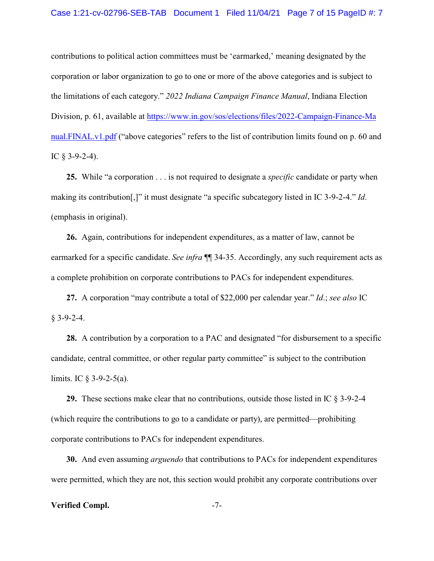contributions to political action committees must be 'earmarked,' meaning designated by the corporation or labor organization to go to one or more of the above categories and is subject to the limitations of each category." *2022 Indiana Campaign Finance Manual*, Indiana Election Division, p. 61, available at [https://www.in.gov/sos/elections/files/2022-Campaign-Finance-Ma](https://www.in.gov/sos/elections/files/2022-Campaign-Finance-Manual.FINAL.v1.pdf) [nual.FINAL.v1.pdf](https://www.in.gov/sos/elections/files/2022-Campaign-Finance-Manual.FINAL.v1.pdf) ("above categories" refers to the list of contribution limits found on p. 60 and IC  $\&$  3-9-2-4).

**25.** While "a corporation . . . is not required to designate a *specific* candidate or party when making its contribution[,]" it must designate "a specific subcategory listed in IC 3-9-2-4." *Id*. (emphasis in original).

**26.** Again, contributions for independent expenditures, as a matter of law, cannot be earmarked for a specific candidate. *See infra* ¶¶ 34-35. Accordingly, any such requirement acts as a complete prohibition on corporate contributions to PACs for independent expenditures.

**27.** A corporation "may contribute a total of \$22,000 per calendar year." *Id*.; *see also* IC  $§$  3-9-2-4.

**28.** A contribution by a corporation to a PAC and designated "for disbursement to a specific candidate, central committee, or other regular party committee" is subject to the contribution limits. IC  $\frac{1}{2}$  3-9-2-5(a).

**29.** These sections make clear that no contributions, outside those listed in IC § 3-9-2-4 (which require the contributions to go to a candidate or party), are permitted—prohibiting corporate contributions to PACs for independent expenditures.

**30.** And even assuming *arguendo* that contributions to PACs for independent expenditures were permitted, which they are not, this section would prohibit any corporate contributions over

#### **Verified Compl.** -7-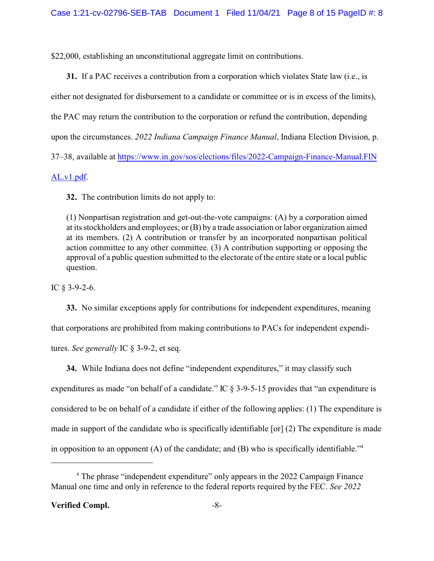\$22,000, establishing an unconstitutional aggregate limit on contributions.

**31.** If a PAC receives a contribution from a corporation which violates State law (i.e., is either not designated for disbursement to a candidate or committee or is in excess of the limits), the PAC may return the contribution to the corporation or refund the contribution, depending upon the circumstances. *2022 Indiana Campaign Finance Manual*, Indiana Election Division, p. 37–38, available at [https://www.in.gov/sos/elections/files/2022-Campaign-Finance-Manual.FIN](https://www.in.gov/sos/elections/files/2022-Campaign-Finance-Manual.FINAL.v1.pdf) [AL.v1.pdf](https://www.in.gov/sos/elections/files/2022-Campaign-Finance-Manual.FINAL.v1.pdf).

**32.** The contribution limits do not apply to:

(1) Nonpartisan registration and get-out-the-vote campaigns: (A) by a corporation aimed at its stockholders and employees; or (B) by a trade association or labor organization aimed at its members. (2) A contribution or transfer by an incorporated nonpartisan political action committee to any other committee. (3) A contribution supporting or opposing the approval of a public question submitted to the electorate of the entire state or a local public question.

IC  $\S$  3-9-2-6.

**33.** No similar exceptions apply for contributions for independent expenditures, meaning that corporations are prohibited from making contributions to PACs for independent expenditures. *See generally* IC § 3-9-2, et seq.

**34.** While Indiana does not define "independent expenditures," it may classify such expenditures as made "on behalf of a candidate." IC § 3-9-5-15 provides that "an expenditure is considered to be on behalf of a candidate if either of the following applies: (1) The expenditure is made in support of the candidate who is specifically identifiable [or] (2) The expenditure is made in opposition to an opponent  $(A)$  of the candidate; and  $(B)$  who is specifically identifiable."<sup>4</sup>

## **Verified Compl.** -8-

<sup>&</sup>lt;sup>4</sup> The phrase "independent expenditure" only appears in the 2022 Campaign Finance Manual one time and only in reference to the federal reports required by the FEC. *See 2022*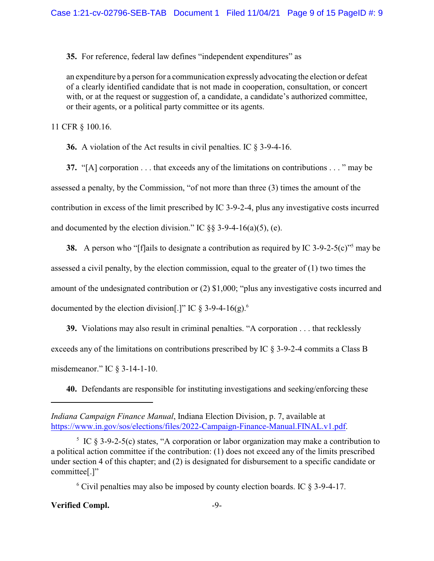**35.** For reference, federal law defines "independent expenditures" as

an expenditure by a person for a communication expressly advocating the election or defeat of a clearly identified candidate that is not made in cooperation, consultation, or concert with, or at the request or suggestion of, a candidate, a candidate's authorized committee, or their agents, or a political party committee or its agents.

11 CFR § 100.16.

**36.** A violation of the Act results in civil penalties. IC § 3-9-4-16.

**37.** "[A] corporation . . . that exceeds any of the limitations on contributions . . . " may be assessed a penalty, by the Commission, "of not more than three (3) times the amount of the contribution in excess of the limit prescribed by IC 3-9-2-4, plus any investigative costs incurred and documented by the election division." IC  $\S$ § 3-9-4-16(a)(5), (e).

**38.** A person who "[f]ails to designate a contribution as required by IC 3-9-2-5(c)" may be assessed a civil penalty, by the election commission, equal to the greater of (1) two times the amount of the undesignated contribution or (2) \$1,000; "plus any investigative costs incurred and documented by the election division[.]" IC  $\delta$  3-9-4-16(g).<sup>6</sup>

**39.** Violations may also result in criminal penalties. "A corporation . . . that recklessly exceeds any of the limitations on contributions prescribed by IC § 3-9-2-4 commits a Class B misdemeanor." IC § 3-14-1-10.

**40.** Defendants are responsible for instituting investigations and seeking/enforcing these

<sup>6</sup> Civil penalties may also be imposed by county election boards. IC § 3-9-4-17.

### **Verified Compl.** 49-

*Indiana Campaign Finance Manual*, Indiana Election Division, p. 7, available at <https://www.in.gov/sos/elections/files/2022-Campaign-Finance-Manual.FINAL.v1.pdf>.

<sup>&</sup>lt;sup>5</sup> IC  $\S$  3-9-2-5(c) states, "A corporation or labor organization may make a contribution to a political action committee if the contribution: (1) does not exceed any of the limits prescribed under section 4 of this chapter; and (2) is designated for disbursement to a specific candidate or committee[.]"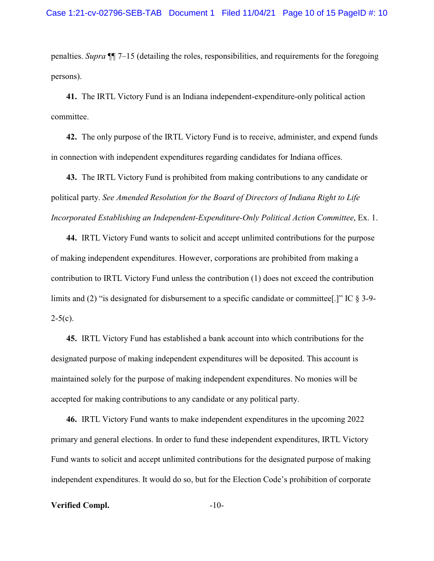penalties. *Supra* ¶¶ 7–15 (detailing the roles, responsibilities, and requirements for the foregoing persons).

**41.** The IRTL Victory Fund is an Indiana independent-expenditure-only political action committee.

**42.** The only purpose of the IRTL Victory Fund is to receive, administer, and expend funds in connection with independent expenditures regarding candidates for Indiana offices.

**43.** The IRTL Victory Fund is prohibited from making contributions to any candidate or political party. *See Amended Resolution for the Board of Directors of Indiana Right to Life Incorporated Establishing an Independent-Expenditure-Only Political Action Committee*, Ex. 1.

**44.** IRTL Victory Fund wants to solicit and accept unlimited contributions for the purpose of making independent expenditures. However, corporations are prohibited from making a contribution to IRTL Victory Fund unless the contribution (1) does not exceed the contribution limits and (2) "is designated for disbursement to a specific candidate or committee[.]" IC § 3-9-  $2-5(c)$ .

**45.** IRTL Victory Fund has established a bank account into which contributions for the designated purpose of making independent expenditures will be deposited. This account is maintained solely for the purpose of making independent expenditures. No monies will be accepted for making contributions to any candidate or any political party.

**46.** IRTL Victory Fund wants to make independent expenditures in the upcoming 2022 primary and general elections. In order to fund these independent expenditures, IRTL Victory Fund wants to solicit and accept unlimited contributions for the designated purpose of making independent expenditures. It would do so, but for the Election Code's prohibition of corporate

#### **Verified Compl.**  $-10$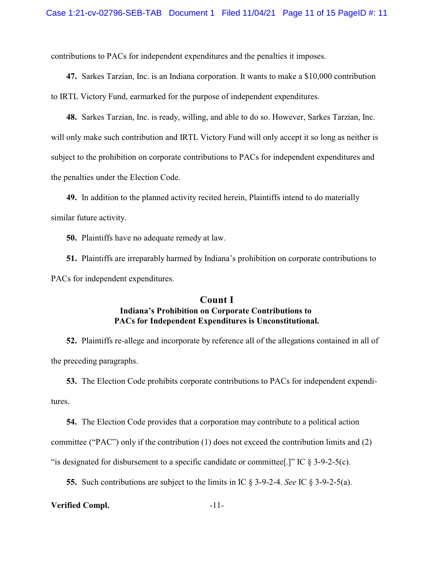contributions to PACs for independent expenditures and the penalties it imposes.

**47.** Sarkes Tarzian, Inc. is an Indiana corporation. It wants to make a \$10,000 contribution to IRTL Victory Fund, earmarked for the purpose of independent expenditures.

**48.** Sarkes Tarzian, Inc. is ready, willing, and able to do so. However, Sarkes Tarzian, Inc. will only make such contribution and IRTL Victory Fund will only accept it so long as neither is subject to the prohibition on corporate contributions to PACs for independent expenditures and the penalties under the Election Code.

**49.** In addition to the planned activity recited herein, Plaintiffs intend to do materially similar future activity.

**50.** Plaintiffs have no adequate remedy at law.

**51.** Plaintiffs are irreparably harmed by Indiana's prohibition on corporate contributions to PACs for independent expenditures.

## **Count I Indiana's Prohibition on Corporate Contributions to PACs for Independent Expenditures is Unconstitutional.**

**52.** Plaintiffs re-allege and incorporate by reference all of the allegations contained in all of the preceding paragraphs.

**53.** The Election Code prohibits corporate contributions to PACs for independent expendi-

tures.

**54.** The Election Code provides that a corporation may contribute to a political action committee ("PAC") only if the contribution (1) does not exceed the contribution limits and (2) "is designated for disbursement to a specific candidate or committee[.]" IC § 3-9-2-5(c).

**55.** Such contributions are subject to the limits in IC § 3-9-2-4. *See* IC § 3-9-2-5(a).

#### **Verified Compl.** -11-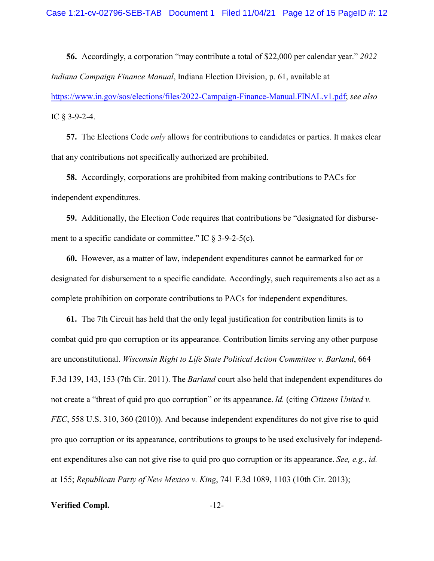**56.** Accordingly, a corporation "may contribute a total of \$22,000 per calendar year." *2022 Indiana Campaign Finance Manual*, Indiana Election Division, p. 61, available at

<https://www.in.gov/sos/elections/files/2022-Campaign-Finance-Manual.FINAL.v1.pdf>; *see also* IC § 3-9-2-4.

**57.** The Elections Code *only* allows for contributions to candidates or parties. It makes clear that any contributions not specifically authorized are prohibited.

**58.** Accordingly, corporations are prohibited from making contributions to PACs for independent expenditures.

**59.** Additionally, the Election Code requires that contributions be "designated for disbursement to a specific candidate or committee." IC  $\delta$  3-9-2-5(c).

**60.** However, as a matter of law, independent expenditures cannot be earmarked for or designated for disbursement to a specific candidate. Accordingly, such requirements also act as a complete prohibition on corporate contributions to PACs for independent expenditures.

**61.** The 7th Circuit has held that the only legal justification for contribution limits is to combat quid pro quo corruption or its appearance. Contribution limits serving any other purpose are unconstitutional. *Wisconsin Right to Life State Political Action Committee v. Barland*, 664 F.3d 139, 143, 153 (7th Cir. 2011). The *Barland* court also held that independent expenditures do not create a "threat of quid pro quo corruption" or its appearance. *Id.* (citing *Citizens United v. FEC*, 558 U.S. 310, 360 (2010)). And because independent expenditures do not give rise to quid pro quo corruption or its appearance, contributions to groups to be used exclusively for independent expenditures also can not give rise to quid pro quo corruption or its appearance. *See, e.g.*, *id.* at 155; *Republican Party of New Mexico v. King*, 741 F.3d 1089, 1103 (10th Cir. 2013);

**Verified Compl.** -12-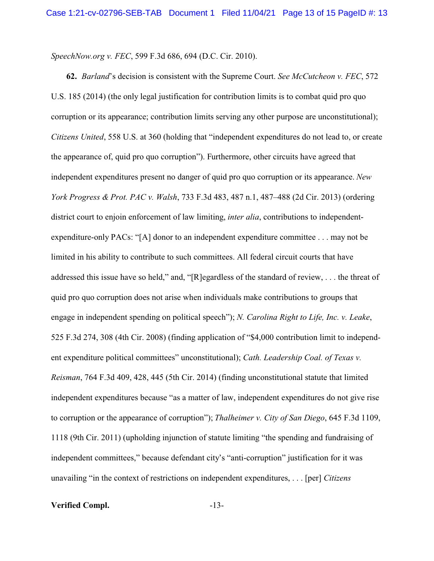*SpeechNow.org v. FEC*, 599 F.3d 686, 694 (D.C. Cir. 2010).

**62.** *Barland*'s decision is consistent with the Supreme Court. *See McCutcheon v. FEC*, 572 U.S. 185 (2014) (the only legal justification for contribution limits is to combat quid pro quo corruption or its appearance; contribution limits serving any other purpose are unconstitutional); *Citizens United*, 558 U.S. at 360 (holding that "independent expenditures do not lead to, or create the appearance of, quid pro quo corruption"). Furthermore, other circuits have agreed that independent expenditures present no danger of quid pro quo corruption or its appearance. *New York Progress & Prot. PAC v. Walsh*, 733 F.3d 483, 487 n.1, 487–488 (2d Cir. 2013) (ordering district court to enjoin enforcement of law limiting, *inter alia*, contributions to independentexpenditure-only PACs: "[A] donor to an independent expenditure committee . . . may not be limited in his ability to contribute to such committees. All federal circuit courts that have addressed this issue have so held," and, "[R]egardless of the standard of review, . . . the threat of quid pro quo corruption does not arise when individuals make contributions to groups that engage in independent spending on political speech"); *N. Carolina Right to Life, Inc. v. Leake*, 525 F.3d 274, 308 (4th Cir. 2008) (finding application of "\$4,000 contribution limit to independent expenditure political committees" unconstitutional); *Cath. Leadership Coal. of Texas v. Reisman*, 764 F.3d 409, 428, 445 (5th Cir. 2014) (finding unconstitutional statute that limited independent expenditures because "as a matter of law, independent expenditures do not give rise to corruption or the appearance of corruption"); *Thalheimer v. City of San Diego*, 645 F.3d 1109, 1118 (9th Cir. 2011) (upholding injunction of statute limiting "the spending and fundraising of independent committees," because defendant city's "anti-corruption" justification for it was unavailing "in the context of restrictions on independent expenditures, . . . [per] *Citizens*

**Verified Compl.** -13-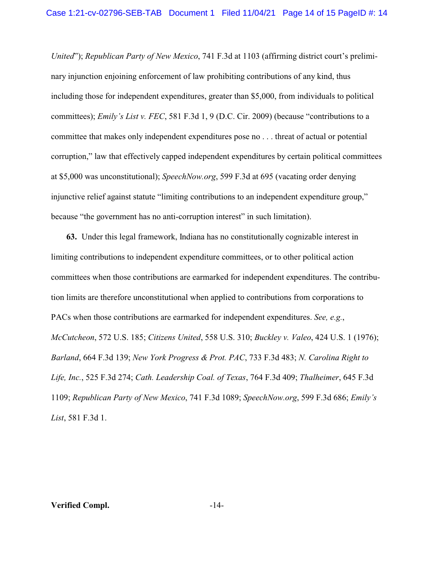*United*"); *Republican Party of New Mexico*, 741 F.3d at 1103 (affirming district court's preliminary injunction enjoining enforcement of law prohibiting contributions of any kind, thus including those for independent expenditures, greater than \$5,000, from individuals to political committees); *Emily's List v. FEC*, 581 F.3d 1, 9 (D.C. Cir. 2009) (because "contributions to a committee that makes only independent expenditures pose no . . . threat of actual or potential corruption," law that effectively capped independent expenditures by certain political committees at \$5,000 was unconstitutional); *SpeechNow.org*, 599 F.3d at 695 (vacating order denying injunctive relief against statute "limiting contributions to an independent expenditure group," because "the government has no anti-corruption interest" in such limitation).

**63.** Under this legal framework, Indiana has no constitutionally cognizable interest in limiting contributions to independent expenditure committees, or to other political action committees when those contributions are earmarked for independent expenditures. The contribution limits are therefore unconstitutional when applied to contributions from corporations to PACs when those contributions are earmarked for independent expenditures. *See, e.g.*, *McCutcheon*, 572 U.S. 185; *Citizens United*, 558 U.S. 310; *Buckley v. Valeo*, 424 U.S. 1 (1976); *Barland*, 664 F.3d 139; *New York Progress & Prot. PAC*, 733 F.3d 483; *N. Carolina Right to Life, Inc.*, 525 F.3d 274; *Cath. Leadership Coal. of Texas*, 764 F.3d 409; *Thalheimer*, 645 F.3d 1109; *Republican Party of New Mexico*, 741 F.3d 1089; *SpeechNow.org*, 599 F.3d 686; *Emily's List*, 581 F.3d 1.